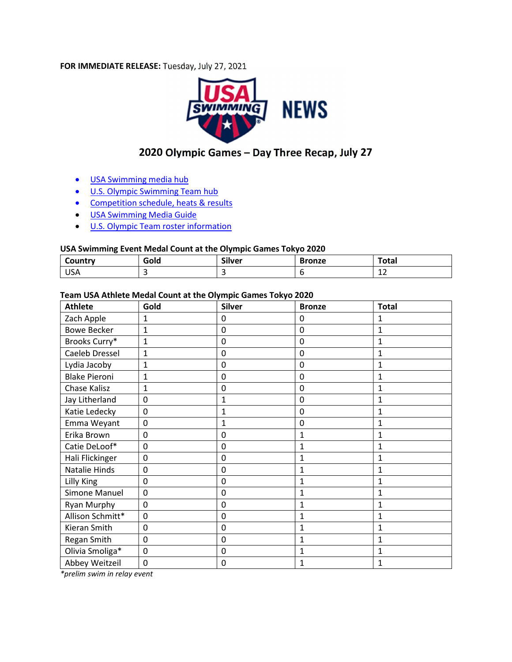#### FOR IMMEDIATE RELEASE: Tuesday, July 27, 2021



# 2020 Olympic Games – Day Three Recap, July 27

- USA Swimming media hub
- **.** U.S. Olympic Swimming Team hub
- Competition schedule, heats & results
- **.** USA Swimming Media Guide
- **U.S. Olympic Team roster information**

#### USA Swimming Event Medal Count at the Olympic Games Tokyo 2020

| Country       | Gold | --<br>،ilver | <b>Bronze</b> | $T0$ tou<br>'utal |
|---------------|------|--------------|---------------|-------------------|
| $\sim$<br>USA |      |              |               | . . <i>.</i>      |

#### Team USA Athlete Medal Count at the Olympic Games Tokyo 2020

| <b>Athlete</b>       | Gold           | <b>Silver</b> | <b>Bronze</b>    | <b>Total</b>   |
|----------------------|----------------|---------------|------------------|----------------|
| Zach Apple           | $\mathbf{1}$   | 0             | 0                | $\mathbf{1}$   |
| <b>Bowe Becker</b>   | $\mathbf 1$    | 0             | 0                | $\mathbf{1}$   |
| Brooks Curry*        | $\mathbf{1}$   | 0             | $\pmb{0}$        | 1              |
| Caeleb Dressel       | $\mathbf{1}$   | 0             | 0                | 1              |
| Lydia Jacoby         | $\overline{1}$ | 0             | $\mathbf 0$      | $\mathbf{1}$   |
| <b>Blake Pieroni</b> | $\mathbf{1}$   | 0             | 0                | 1              |
| Chase Kalisz         | $\mathbf{1}$   | 0             | $\mathbf 0$      | $\mathbf{1}$   |
| Jay Litherland       | $\mathbf 0$    | 1             | $\boldsymbol{0}$ | 1              |
| Katie Ledecky        | $\mathbf 0$    | $\mathbf{1}$  | $\mathbf 0$      | 1              |
| Emma Weyant          | $\mathbf 0$    | 1             | $\mathbf 0$      | 1              |
| Erika Brown          | $\mathbf 0$    | 0             | $\mathbf 1$      | $\mathbf{1}$   |
| Catie DeLoof*        | $\overline{0}$ | 0             | $\mathbf 1$      | $\mathbf{1}$   |
| Hali Flickinger      | 0              | 0             | $\mathbf{1}$     | 1              |
| Natalie Hinds        | 0              | 0             | 1                | $\mathbf{1}$   |
| Lilly King           | $\mathbf 0$    | 0             | 1                | $\mathbf{1}$   |
| Simone Manuel        | $\overline{0}$ | 0             | $\mathbf{1}$     | $\mathbf{1}$   |
| Ryan Murphy          | 0              | 0             | 1                | $\mathbf{1}$   |
| Allison Schmitt*     | $\mathbf 0$    | 0             | $\mathbf 1$      | $\overline{1}$ |
| Kieran Smith         | $\mathbf 0$    | 0             | $\mathbf 1$      | 1              |
| Regan Smith          | 0              | 0             | 1                | $\mathbf{1}$   |
| Olivia Smoliga*      | $\mathbf 0$    | 0             | $\mathbf 1$      | 1              |
| Abbey Weitzeil       | 0              | 0             | $\mathbf{1}$     | $\mathbf{1}$   |

\*prelim swim in relay event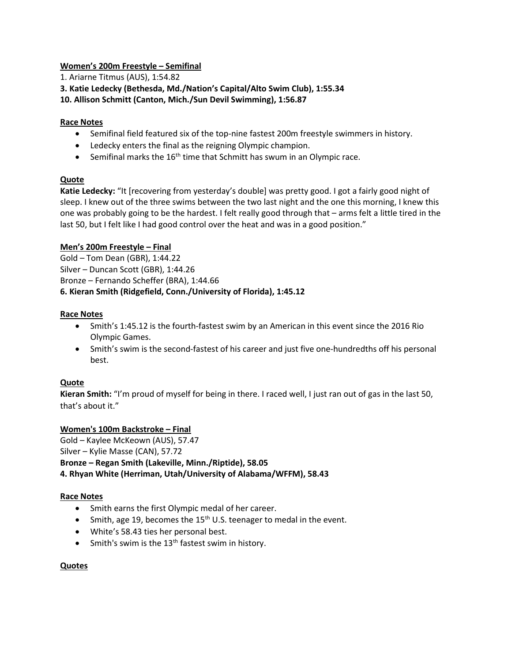# Women's 200m Freestyle – Semifinal

1. Ariarne Titmus (AUS), 1:54.82

3. Katie Ledecky (Bethesda, Md./Nation's Capital/Alto Swim Club), 1:55.34

10. Allison Schmitt (Canton, Mich./Sun Devil Swimming), 1:56.87

# Race Notes

- Semifinal field featured six of the top-nine fastest 200m freestyle swimmers in history.
- Ledecky enters the final as the reigning Olympic champion.
- **•** Semifinal marks the  $16<sup>th</sup>$  time that Schmitt has swum in an Olympic race.

# Quote

Katie Ledecky: "It [recovering from yesterday's double] was pretty good. I got a fairly good night of sleep. I knew out of the three swims between the two last night and the one this morning, I knew this one was probably going to be the hardest. I felt really good through that – arms felt a little tired in the last 50, but I felt like I had good control over the heat and was in a good position."

# Men's 200m Freestyle – Final

Gold – Tom Dean (GBR), 1:44.22 Silver – Duncan Scott (GBR), 1:44.26 Bronze – Fernando Scheffer (BRA), 1:44.66 6. Kieran Smith (Ridgefield, Conn./University of Florida), 1:45.12

# Race Notes

- Smith's 1:45.12 is the fourth-fastest swim by an American in this event since the 2016 Rio Olympic Games.
- Smith's swim is the second-fastest of his career and just five one-hundredths off his personal best.

# Quote

Kieran Smith: "I'm proud of myself for being in there. I raced well, I just ran out of gas in the last 50, that's about it."

# Women's 100m Backstroke – Final

Gold – Kaylee McKeown (AUS), 57.47 Silver – Kylie Masse (CAN), 57.72 Bronze – Regan Smith (Lakeville, Minn./Riptide), 58.05 4. Rhyan White (Herriman, Utah/University of Alabama/WFFM), 58.43

## Race Notes

- Smith earns the first Olympic medal of her career.
- Smith, age 19, becomes the  $15<sup>th</sup>$  U.S. teenager to medal in the event.
- White's 58.43 ties her personal best.
- Smith's swim is the  $13<sup>th</sup>$  fastest swim in history.

## Quotes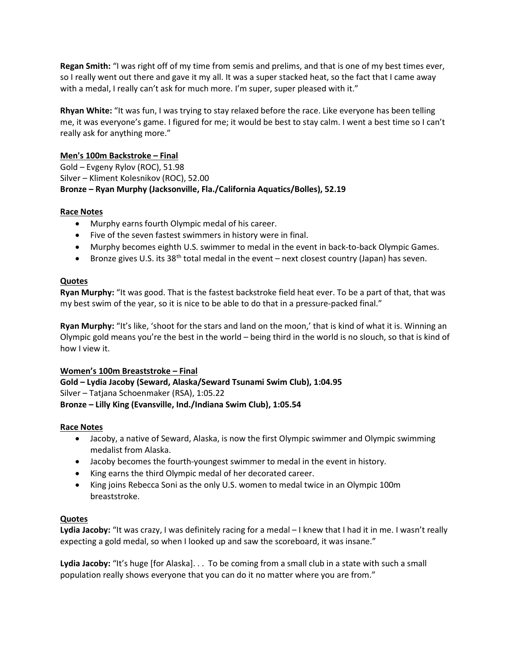Regan Smith: "I was right off of my time from semis and prelims, and that is one of my best times ever, so I really went out there and gave it my all. It was a super stacked heat, so the fact that I came away with a medal, I really can't ask for much more. I'm super, super pleased with it."

Rhyan White: "It was fun, I was trying to stay relaxed before the race. Like everyone has been telling me, it was everyone's game. I figured for me; it would be best to stay calm. I went a best time so I can't really ask for anything more."

# Men's 100m Backstroke – Final

Gold – Evgeny Rylov (ROC), 51.98 Silver – Kliment Kolesnikov (ROC), 52.00 Bronze – Ryan Murphy (Jacksonville, Fla./California Aquatics/Bolles), 52.19

# Race Notes

- Murphy earns fourth Olympic medal of his career.
- Five of the seven fastest swimmers in history were in final.
- Murphy becomes eighth U.S. swimmer to medal in the event in back-to-back Olympic Games.
- **•** Bronze gives U.S. its 38<sup>th</sup> total medal in the event next closest country (Japan) has seven.

# Quotes

Ryan Murphy: "It was good. That is the fastest backstroke field heat ever. To be a part of that, that was my best swim of the year, so it is nice to be able to do that in a pressure-packed final."

Ryan Murphy: "It's like, 'shoot for the stars and land on the moon,' that is kind of what it is. Winning an Olympic gold means you're the best in the world – being third in the world is no slouch, so that is kind of how I view it.

## Women's 100m Breaststroke – Final

Gold – Lydia Jacoby (Seward, Alaska/Seward Tsunami Swim Club), 1:04.95 Silver – Tatjana Schoenmaker (RSA), 1:05.22 Bronze – Lilly King (Evansville, Ind./Indiana Swim Club), 1:05.54

## Race Notes

- Jacoby, a native of Seward, Alaska, is now the first Olympic swimmer and Olympic swimming medalist from Alaska.
- Jacoby becomes the fourth-youngest swimmer to medal in the event in history.
- King earns the third Olympic medal of her decorated career.
- King joins Rebecca Soni as the only U.S. women to medal twice in an Olympic 100m breaststroke.

## **Quotes**

Lydia Jacoby: "It was crazy, I was definitely racing for a medal – I knew that I had it in me. I wasn't really expecting a gold medal, so when I looked up and saw the scoreboard, it was insane."

Lydia Jacoby: "It's huge [for Alaska]. . . To be coming from a small club in a state with such a small population really shows everyone that you can do it no matter where you are from."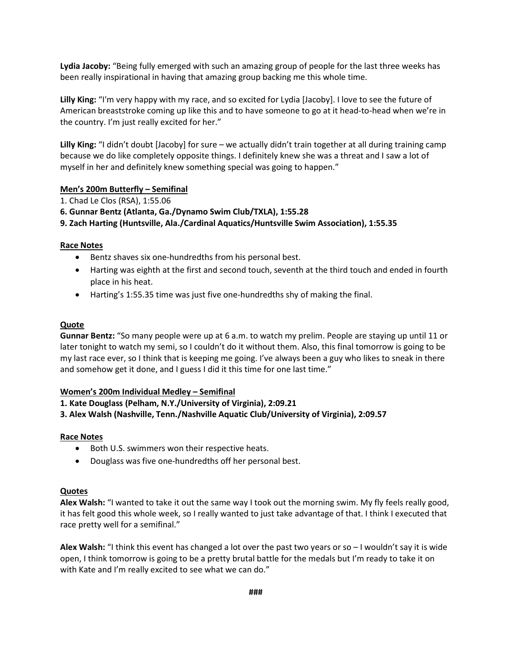Lydia Jacoby: "Being fully emerged with such an amazing group of people for the last three weeks has been really inspirational in having that amazing group backing me this whole time.

Lilly King: "I'm very happy with my race, and so excited for Lydia [Jacoby]. I love to see the future of American breaststroke coming up like this and to have someone to go at it head-to-head when we're in the country. I'm just really excited for her."

Lilly King: "I didn't doubt [Jacoby] for sure – we actually didn't train together at all during training camp because we do like completely opposite things. I definitely knew she was a threat and I saw a lot of myself in her and definitely knew something special was going to happen."

#### Men's 200m Butterfly – Semifinal

- 1. Chad Le Clos (RSA), 1:55.06
- 6. Gunnar Bentz (Atlanta, Ga./Dynamo Swim Club/TXLA), 1:55.28

9. Zach Harting (Huntsville, Ala./Cardinal Aquatics/Huntsville Swim Association), 1:55.35

## Race Notes

- Bentz shaves six one-hundredths from his personal best.
- Harting was eighth at the first and second touch, seventh at the third touch and ended in fourth place in his heat.
- Harting's 1:55.35 time was just five one-hundredths shy of making the final.

## Quote

Gunnar Bentz: "So many people were up at 6 a.m. to watch my prelim. People are staying up until 11 or later tonight to watch my semi, so I couldn't do it without them. Also, this final tomorrow is going to be my last race ever, so I think that is keeping me going. I've always been a guy who likes to sneak in there and somehow get it done, and I guess I did it this time for one last time."

## Women's 200m Individual Medley – Semifinal

1. Kate Douglass (Pelham, N.Y./University of Virginia), 2:09.21

3. Alex Walsh (Nashville, Tenn./Nashville Aquatic Club/University of Virginia), 2:09.57

## Race Notes

- Both U.S. swimmers won their respective heats.
- Douglass was five one-hundredths off her personal best.

#### Quotes

Alex Walsh: "I wanted to take it out the same way I took out the morning swim. My fly feels really good, it has felt good this whole week, so I really wanted to just take advantage of that. I think I executed that race pretty well for a semifinal."

Alex Walsh: "I think this event has changed a lot over the past two years or so  $-1$  wouldn't say it is wide open, I think tomorrow is going to be a pretty brutal battle for the medals but I'm ready to take it on with Kate and I'm really excited to see what we can do."